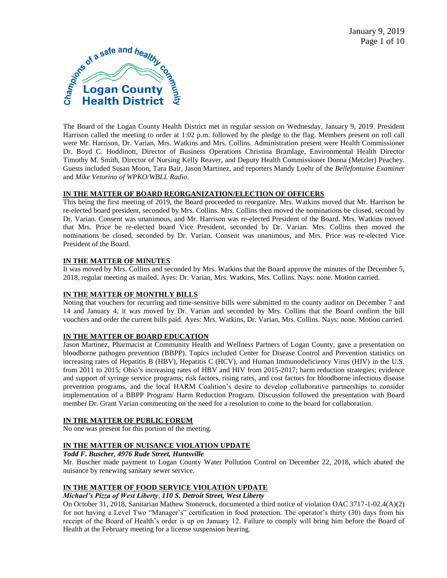

The Board of the Logan County Health District met in regular session on Wednesday, January 9, 2019. President Harrison called the meeting to order at 1:02 p.m. followed by the pledge to the flag. Members present on roll call were Mr. Harrison, Dr. Varian, Mrs. Watkins and Mrs. Collins. Administration present were Health Commissioner Dr. Boyd C. Hoddinott, Director of Business Operations Christina Bramlage, Environmental Health Director Timothy M. Smith, Director of Nursing Kelly Reaver, and Deputy Health Commissioner Donna (Metzler) Peachey. Guests included Susan Moon, Tara Bair, Jason Martinez, and reporters Mandy Loehr of the *Bellefontaine Examiner*  and *Mike Vetorino of WPKO/WBLL Radio*.

# **IN THE MATTER OF BOARD REORGANIZATION/ELECTION OF OFFICERS**

This being the first meeting of 2019, the Board proceeded to reorganize. Mrs. Watkins moved that Mr. Harrison be re-elected board president, seconded by Mrs. Collins. Mrs. Collins then moved the nominations be closed, second by Dr. Varian. Consent was unanimous, and Mr. Harrison was re-elected President of the Board. Mrs. Watkins moved that Mrs. Price be re-elected board Vice President, seconded by Dr. Varian. Mrs. Collins then moved the nominations be closed, seconded by Dr. Varian. Consent was unanimous, and Mrs. Price was re-elected Vice President of the Board.

### **IN THE MATTER OF MINUTES**

It was moved by Mrs. Collins and seconded by Mrs. Watkins that the Board approve the minutes of the December 5, 2018, regular meeting as mailed. Ayes: Dr. Varian, Mrs. Watkins, Mrs. Collins. Nays: none. Motion carried.

#### **IN THE MATTER OF MONTHLY BILLS**

Noting that vouchers for recurring and time-sensitive bills were submitted to the county auditor on December 7 and 14 and January 4, it was moved by Dr. Varian and seconded by Mrs. Collins that the Board confirm the bill vouchers and order the current bills paid. Ayes: Mrs. Watkins, Dr. Varian, Mrs. Collins. Nays: none. Motion carried.

### **IN THE MATTER OF BOARD EDUCATION**

Jason Martinez, Pharmacist at Community Health and Wellness Partners of Logan County, gave a presentation on bloodborne pathogen prevention (BBPP). Topics included Center for Disease Control and Prevention statistics on increasing rates of Hepatitis B (HBV), Hepatitis C (HCV), and Human Immunodeficiency Virus (HIV) in the U.S. from 2011 to 2015; Ohio's increasing rates of HBV and HIV from 2015-2017; harm reduction strategies; evidence and support of syringe service programs; risk factors, rising rates, and cost factors for bloodborne infectious disease prevention programs, and the local HARM Coalition's desire to develop collaborative partnerships to consider implementation of a BBPP Program/ Harm Reduction Program. Discussion followed the presentation with Board member Dr. Grant Varian commenting on the need for a resolution to come to the board for collaboration.

### **IN THE MATTER OF PUBLIC FORUM**

No one was present for this portion of the meeting.

# **IN THE MATTER OF NUISANCE VIOLATION UPDATE**

*Todd F. Buscher, 4976 Rude Street, Huntsville*

Mr. Buscher made payment to Logan County Water Pollution Control on December 22, 2018, which abated the nuisance by renewing sanitary sewer service.

# **IN THE MATTER OF FOOD SERVICE VIOLATION UPDATE**

#### *Michael's Pizza of West Liberty, 110 S. Detroit Street, West Liberty*

On October 31, 2018, Sanitarian Mathew Stonerock, documented a third notice of violation OAC 3717-1-02.4(A)(2) for not having a Level Two "Manager's" certification in food protection. The operator's thirty (30) days from his receipt of the Board of Health's order is up on January 12. Failure to comply will bring him before the Board of Health at the February meeting for a license suspension hearing.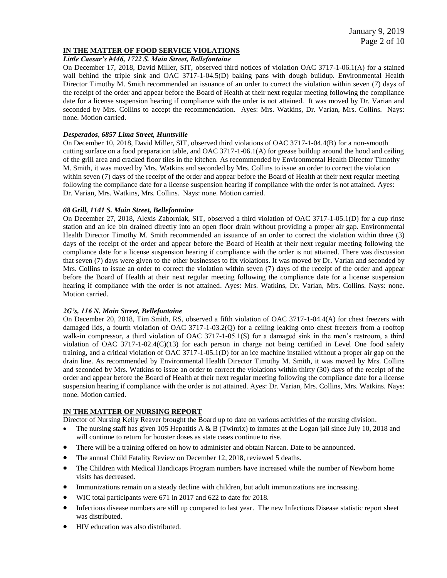# **IN THE MATTER OF FOOD SERVICE VIOLATIONS**

# *Little Caesar's #446, 1722 S. Main Street, Bellefontaine*

On December 17, 2018, David Miller, SIT, observed third notices of violation OAC 3717-1-06.1(A) for a stained wall behind the triple sink and OAC 3717-1-04.5(D) baking pans with dough buildup. Environmental Health Director Timothy M. Smith recommended an issuance of an order to correct the violation within seven (7) days of the receipt of the order and appear before the Board of Health at their next regular meeting following the compliance date for a license suspension hearing if compliance with the order is not attained. It was moved by Dr. Varian and seconded by Mrs. Collins to accept the recommendation. Ayes: Mrs. Watkins, Dr. Varian, Mrs. Collins. Nays: none. Motion carried.

# *Desperados*, *6857 Lima Street, Huntsville*

On December 10, 2018, David Miller, SIT, observed third violations of OAC 3717-1-04.4(B) for a non-smooth cutting surface on a food preparation table, and OAC 3717-1-06.1(A) for grease buildup around the hood and ceiling of the grill area and cracked floor tiles in the kitchen. As recommended by Environmental Health Director Timothy M. Smith, it was moved by Mrs. Watkins and seconded by Mrs. Collins to issue an order to correct the violation within seven (7) days of the receipt of the order and appear before the Board of Health at their next regular meeting following the compliance date for a license suspension hearing if compliance with the order is not attained. Ayes: Dr. Varian, Mrs. Watkins, Mrs. Collins. Nays: none. Motion carried.

### *68 Grill, 1141 S. Main Street, Bellefontaine*

On December 27, 2018, Alexis Zaborniak, SIT, observed a third violation of OAC 3717-1-05.1(D) for a cup rinse station and an ice bin drained directly into an open floor drain without providing a proper air gap. Environmental Health Director Timothy M. Smith recommended an issuance of an order to correct the violation within three (3) days of the receipt of the order and appear before the Board of Health at their next regular meeting following the compliance date for a license suspension hearing if compliance with the order is not attained. There was discussion that seven (7) days were given to the other businesses to fix violations. It was moved by Dr. Varian and seconded by Mrs. Collins to issue an order to correct the violation within seven (7) days of the receipt of the order and appear before the Board of Health at their next regular meeting following the compliance date for a license suspension hearing if compliance with the order is not attained. Ayes: Mrs. Watkins, Dr. Varian, Mrs. Collins. Nays: none. Motion carried.

# *2G's, 116 N. Main Street, Bellefontaine*

On December 20, 2018, Tim Smith, RS, observed a fifth violation of OAC 3717-1-04.4(A) for chest freezers with damaged lids, a fourth violation of OAC 3717-1-03.2(Q) for a ceiling leaking onto chest freezers from a rooftop walk-in compressor, a third violation of OAC 3717-1-05.1(S) for a damaged sink in the men's restroom, a third violation of OAC 3717-1-02.4(C)(13) for each person in charge not being certified in Level One food safety training, and a critical violation of OAC 3717-1-05.1(D) for an ice machine installed without a proper air gap on the drain line. As recommended by Environmental Health Director Timothy M. Smith, it was moved by Mrs. Collins and seconded by Mrs. Watkins to issue an order to correct the violations within thirty (30) days of the receipt of the order and appear before the Board of Health at their next regular meeting following the compliance date for a license suspension hearing if compliance with the order is not attained. Ayes: Dr. Varian, Mrs. Collins, Mrs. Watkins. Nays: none. Motion carried.

# **IN THE MATTER OF NURSING REPORT**

Director of Nursing Kelly Reaver brought the Board up to date on various activities of the nursing division.

- The nursing staff has given 105 Hepatitis A & B (Twinrix) to inmates at the Logan jail since July 10, 2018 and will continue to return for booster doses as state cases continue to rise.
- There will be a training offered on how to administer and obtain Narcan. Date to be announced.
- The annual Child Fatality Review on December 12, 2018, reviewed 5 deaths.
- The Children with Medical Handicaps Program numbers have increased while the number of Newborn home visits has decreased.
- Immunizations remain on a steady decline with children, but adult immunizations are increasing.
- WIC total participants were 671 in 2017 and 622 to date for 2018.
- Infectious disease numbers are still up compared to last year. The new Infectious Disease statistic report sheet was distributed.
- HIV education was also distributed.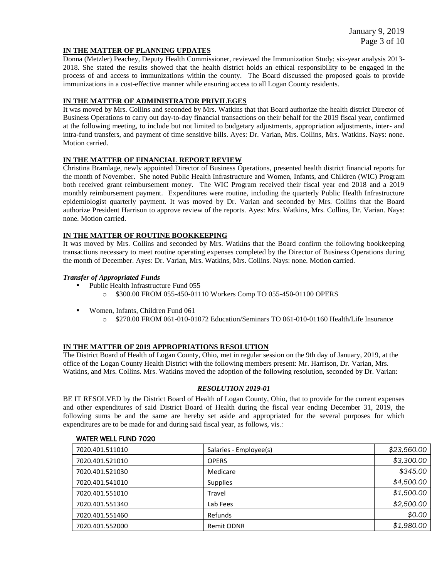# **IN THE MATTER OF PLANNING UPDATES**

Donna (Metzler) Peachey, Deputy Health Commissioner, reviewed the Immunization Study: six-year analysis 2013- 2018. She stated the results showed that the health district holds an ethical responsibility to be engaged in the process of and access to immunizations within the county. The Board discussed the proposed goals to provide immunizations in a cost-effective manner while ensuring access to all Logan County residents.

### **IN THE MATTER OF ADMINISTRATOR PRIVILEGES**

It was moved by Mrs. Collins and seconded by Mrs. Watkins that that Board authorize the health district Director of Business Operations to carry out day-to-day financial transactions on their behalf for the 2019 fiscal year, confirmed at the following meeting, to include but not limited to budgetary adjustments, appropriation adjustments, inter- and intra-fund transfers, and payment of time sensitive bills. Ayes: Dr. Varian, Mrs. Collins, Mrs. Watkins. Nays: none. Motion carried.

# **IN THE MATTER OF FINANCIAL REPORT REVIEW**

Christina Bramlage, newly appointed Director of Business Operations, presented health district financial reports for the month of November. She noted Public Health Infrastructure and Women, Infants, and Children (WIC) Program both received grant reimbursement money. The WIC Program received their fiscal year end 2018 and a 2019 monthly reimbursement payment. Expenditures were routine, including the quarterly Public Health Infrastructure epidemiologist quarterly payment. It was moved by Dr. Varian and seconded by Mrs. Collins that the Board authorize President Harrison to approve review of the reports. Ayes: Mrs. Watkins, Mrs. Collins, Dr. Varian. Nays: none. Motion carried.

### **IN THE MATTER OF ROUTINE BOOKKEEPING**

It was moved by Mrs. Collins and seconded by Mrs. Watkins that the Board confirm the following bookkeeping transactions necessary to meet routine operating expenses completed by the Director of Business Operations during the month of December. Ayes: Dr. Varian, Mrs. Watkins, Mrs. Collins. Nays: none. Motion carried.

#### *Transfer of Appropriated Funds*

- Public Health Infrastructure Fund 055
	- o \$300.00 FROM 055-450-01110 Workers Comp TO 055-450-01100 OPERS
- Women, Infants, Children Fund 061
	- $\degree$  \$270.00 FROM 061-010-01072 Education/Seminars TO 061-010-01160 Health/Life Insurance

# **IN THE MATTER OF 2019 APPROPRIATIONS RESOLUTION**

The District Board of Health of Logan County, Ohio, met in regular session on the 9th day of January, 2019, at the office of the Logan County Health District with the following members present: Mr. Harrison, Dr. Varian, Mrs. Watkins, and Mrs. Collins. Mrs. Watkins moved the adoption of the following resolution, seconded by Dr. Varian:

#### *RESOLUTION 2019-01*

BE IT RESOLVED by the District Board of Health of Logan County, Ohio, that to provide for the current expenses and other expenditures of said District Board of Health during the fiscal year ending December 31, 2019, the following sums be and the same are hereby set aside and appropriated for the several purposes for which expenditures are to be made for and during said fiscal year, as follows, vis.:

| 7020.401.511010 | Salaries - Employee(s) | \$23,560.00 |
|-----------------|------------------------|-------------|
| 7020.401.521010 | <b>OPERS</b>           | \$3,300.00  |
| 7020.401.521030 | Medicare               | \$345.00    |
| 7020.401.541010 | <b>Supplies</b>        | \$4,500.00  |
| 7020.401.551010 | Travel                 | \$1,500.00  |
| 7020.401.551340 | Lab Fees               | \$2,500.00  |
| 7020.401.551460 | Refunds                | \$0.00      |
| 7020.401.552000 | Remit ODNR             | \$1,980.00  |

#### WATER WELL FUND 7020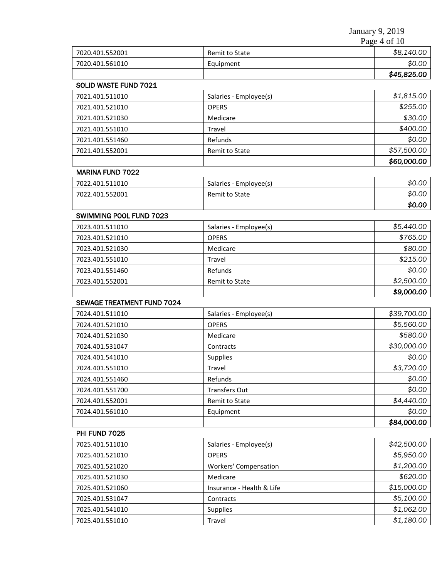January 9, 2019 Page  $\frac{1}{4}$  of 10

| \$0.00<br>7020.401.561010<br>Equipment<br>\$45,825.00<br>SOLID WASTE FUND 7021<br>\$1,815.00<br>7021.401.511010<br>Salaries - Employee(s)<br>\$255.00<br>7021.401.521010<br><b>OPERS</b><br>7021.401.521030<br>\$30.00<br>Medicare<br>\$400.00<br>7021.401.551010<br>Travel<br>\$0.00<br>Refunds<br>7021.401.551460<br>\$57,500.00<br>7021.401.552001<br>Remit to State<br>\$60,000.00<br><b>MARINA FUND 7022</b><br>\$0.00<br>7022.401.511010<br>Salaries - Employee(s)<br>\$0.00<br>7022.401.552001<br>Remit to State<br>\$0.00<br>SWIMMING POOL FUND 7023<br>\$5,440.00<br>7023.401.511010<br>Salaries - Employee(s)<br>\$765.00<br>7023.401.521010<br><b>OPERS</b><br>\$80.00<br>7023.401.521030<br>Medicare<br>\$215.00<br>7023.401.551010<br>Travel<br>\$0.00<br>Refunds<br>7023.401.551460<br>\$2,500.00<br>7023.401.552001<br>Remit to State<br>\$9,000.00<br><b>SEWAGE TREATMENT FUND 7024</b><br>\$39,700.00<br>7024.401.511010<br>Salaries - Employee(s)<br>\$5,560.00<br>7024.401.521010<br><b>OPERS</b><br>\$580.00<br>7024.401.521030<br>Medicare<br>\$30,000.00<br>7024.401.531047<br>Contracts<br>\$0.00<br>7024.401.541010<br>Supplies<br>\$3,720.00<br>7024.401.551010<br>Travel<br>\$0.00<br>7024.401.551460<br>Refunds<br>\$0.00<br>7024.401.551700<br><b>Transfers Out</b><br>\$4,440.00<br>7024.401.552001<br>Remit to State<br>\$0.00<br>7024.401.561010<br>Equipment<br>\$84,000.00<br>PHI FUND 7025<br>\$42,500.00<br>7025.401.511010<br>Salaries - Employee(s)<br>\$5,950.00<br><b>OPERS</b><br>7025.401.521010<br>\$1,200.00<br><b>Workers' Compensation</b><br>7025.401.521020<br>\$620.00<br>7025.401.521030<br>Medicare<br>\$15,000.00<br>7025.401.521060<br>Insurance - Health & Life<br>\$5,100.00<br>7025.401.531047<br>Contracts<br>\$1,062.00<br>Supplies<br>7025.401.541010<br>\$1,180.00<br>Travel<br>7025.401.551010 |                 |                | $1 \mu$ <sub>5</sub> $\sigma$ + 01 10 |
|------------------------------------------------------------------------------------------------------------------------------------------------------------------------------------------------------------------------------------------------------------------------------------------------------------------------------------------------------------------------------------------------------------------------------------------------------------------------------------------------------------------------------------------------------------------------------------------------------------------------------------------------------------------------------------------------------------------------------------------------------------------------------------------------------------------------------------------------------------------------------------------------------------------------------------------------------------------------------------------------------------------------------------------------------------------------------------------------------------------------------------------------------------------------------------------------------------------------------------------------------------------------------------------------------------------------------------------------------------------------------------------------------------------------------------------------------------------------------------------------------------------------------------------------------------------------------------------------------------------------------------------------------------------------------------------------------------------------------------------------------------------------------------------------------------------------------------------------------------|-----------------|----------------|---------------------------------------|
|                                                                                                                                                                                                                                                                                                                                                                                                                                                                                                                                                                                                                                                                                                                                                                                                                                                                                                                                                                                                                                                                                                                                                                                                                                                                                                                                                                                                                                                                                                                                                                                                                                                                                                                                                                                                                                                            | 7020.401.552001 | Remit to State | \$8,140.00                            |
|                                                                                                                                                                                                                                                                                                                                                                                                                                                                                                                                                                                                                                                                                                                                                                                                                                                                                                                                                                                                                                                                                                                                                                                                                                                                                                                                                                                                                                                                                                                                                                                                                                                                                                                                                                                                                                                            |                 |                |                                       |
|                                                                                                                                                                                                                                                                                                                                                                                                                                                                                                                                                                                                                                                                                                                                                                                                                                                                                                                                                                                                                                                                                                                                                                                                                                                                                                                                                                                                                                                                                                                                                                                                                                                                                                                                                                                                                                                            |                 |                |                                       |
|                                                                                                                                                                                                                                                                                                                                                                                                                                                                                                                                                                                                                                                                                                                                                                                                                                                                                                                                                                                                                                                                                                                                                                                                                                                                                                                                                                                                                                                                                                                                                                                                                                                                                                                                                                                                                                                            |                 |                |                                       |
|                                                                                                                                                                                                                                                                                                                                                                                                                                                                                                                                                                                                                                                                                                                                                                                                                                                                                                                                                                                                                                                                                                                                                                                                                                                                                                                                                                                                                                                                                                                                                                                                                                                                                                                                                                                                                                                            |                 |                |                                       |
|                                                                                                                                                                                                                                                                                                                                                                                                                                                                                                                                                                                                                                                                                                                                                                                                                                                                                                                                                                                                                                                                                                                                                                                                                                                                                                                                                                                                                                                                                                                                                                                                                                                                                                                                                                                                                                                            |                 |                |                                       |
|                                                                                                                                                                                                                                                                                                                                                                                                                                                                                                                                                                                                                                                                                                                                                                                                                                                                                                                                                                                                                                                                                                                                                                                                                                                                                                                                                                                                                                                                                                                                                                                                                                                                                                                                                                                                                                                            |                 |                |                                       |
|                                                                                                                                                                                                                                                                                                                                                                                                                                                                                                                                                                                                                                                                                                                                                                                                                                                                                                                                                                                                                                                                                                                                                                                                                                                                                                                                                                                                                                                                                                                                                                                                                                                                                                                                                                                                                                                            |                 |                |                                       |
|                                                                                                                                                                                                                                                                                                                                                                                                                                                                                                                                                                                                                                                                                                                                                                                                                                                                                                                                                                                                                                                                                                                                                                                                                                                                                                                                                                                                                                                                                                                                                                                                                                                                                                                                                                                                                                                            |                 |                |                                       |
|                                                                                                                                                                                                                                                                                                                                                                                                                                                                                                                                                                                                                                                                                                                                                                                                                                                                                                                                                                                                                                                                                                                                                                                                                                                                                                                                                                                                                                                                                                                                                                                                                                                                                                                                                                                                                                                            |                 |                |                                       |
|                                                                                                                                                                                                                                                                                                                                                                                                                                                                                                                                                                                                                                                                                                                                                                                                                                                                                                                                                                                                                                                                                                                                                                                                                                                                                                                                                                                                                                                                                                                                                                                                                                                                                                                                                                                                                                                            |                 |                |                                       |
|                                                                                                                                                                                                                                                                                                                                                                                                                                                                                                                                                                                                                                                                                                                                                                                                                                                                                                                                                                                                                                                                                                                                                                                                                                                                                                                                                                                                                                                                                                                                                                                                                                                                                                                                                                                                                                                            |                 |                |                                       |
|                                                                                                                                                                                                                                                                                                                                                                                                                                                                                                                                                                                                                                                                                                                                                                                                                                                                                                                                                                                                                                                                                                                                                                                                                                                                                                                                                                                                                                                                                                                                                                                                                                                                                                                                                                                                                                                            |                 |                |                                       |
|                                                                                                                                                                                                                                                                                                                                                                                                                                                                                                                                                                                                                                                                                                                                                                                                                                                                                                                                                                                                                                                                                                                                                                                                                                                                                                                                                                                                                                                                                                                                                                                                                                                                                                                                                                                                                                                            |                 |                |                                       |
|                                                                                                                                                                                                                                                                                                                                                                                                                                                                                                                                                                                                                                                                                                                                                                                                                                                                                                                                                                                                                                                                                                                                                                                                                                                                                                                                                                                                                                                                                                                                                                                                                                                                                                                                                                                                                                                            |                 |                |                                       |
|                                                                                                                                                                                                                                                                                                                                                                                                                                                                                                                                                                                                                                                                                                                                                                                                                                                                                                                                                                                                                                                                                                                                                                                                                                                                                                                                                                                                                                                                                                                                                                                                                                                                                                                                                                                                                                                            |                 |                |                                       |
|                                                                                                                                                                                                                                                                                                                                                                                                                                                                                                                                                                                                                                                                                                                                                                                                                                                                                                                                                                                                                                                                                                                                                                                                                                                                                                                                                                                                                                                                                                                                                                                                                                                                                                                                                                                                                                                            |                 |                |                                       |
|                                                                                                                                                                                                                                                                                                                                                                                                                                                                                                                                                                                                                                                                                                                                                                                                                                                                                                                                                                                                                                                                                                                                                                                                                                                                                                                                                                                                                                                                                                                                                                                                                                                                                                                                                                                                                                                            |                 |                |                                       |
|                                                                                                                                                                                                                                                                                                                                                                                                                                                                                                                                                                                                                                                                                                                                                                                                                                                                                                                                                                                                                                                                                                                                                                                                                                                                                                                                                                                                                                                                                                                                                                                                                                                                                                                                                                                                                                                            |                 |                |                                       |
|                                                                                                                                                                                                                                                                                                                                                                                                                                                                                                                                                                                                                                                                                                                                                                                                                                                                                                                                                                                                                                                                                                                                                                                                                                                                                                                                                                                                                                                                                                                                                                                                                                                                                                                                                                                                                                                            |                 |                |                                       |
|                                                                                                                                                                                                                                                                                                                                                                                                                                                                                                                                                                                                                                                                                                                                                                                                                                                                                                                                                                                                                                                                                                                                                                                                                                                                                                                                                                                                                                                                                                                                                                                                                                                                                                                                                                                                                                                            |                 |                |                                       |
|                                                                                                                                                                                                                                                                                                                                                                                                                                                                                                                                                                                                                                                                                                                                                                                                                                                                                                                                                                                                                                                                                                                                                                                                                                                                                                                                                                                                                                                                                                                                                                                                                                                                                                                                                                                                                                                            |                 |                |                                       |
|                                                                                                                                                                                                                                                                                                                                                                                                                                                                                                                                                                                                                                                                                                                                                                                                                                                                                                                                                                                                                                                                                                                                                                                                                                                                                                                                                                                                                                                                                                                                                                                                                                                                                                                                                                                                                                                            |                 |                |                                       |
|                                                                                                                                                                                                                                                                                                                                                                                                                                                                                                                                                                                                                                                                                                                                                                                                                                                                                                                                                                                                                                                                                                                                                                                                                                                                                                                                                                                                                                                                                                                                                                                                                                                                                                                                                                                                                                                            |                 |                |                                       |
|                                                                                                                                                                                                                                                                                                                                                                                                                                                                                                                                                                                                                                                                                                                                                                                                                                                                                                                                                                                                                                                                                                                                                                                                                                                                                                                                                                                                                                                                                                                                                                                                                                                                                                                                                                                                                                                            |                 |                |                                       |
|                                                                                                                                                                                                                                                                                                                                                                                                                                                                                                                                                                                                                                                                                                                                                                                                                                                                                                                                                                                                                                                                                                                                                                                                                                                                                                                                                                                                                                                                                                                                                                                                                                                                                                                                                                                                                                                            |                 |                |                                       |
|                                                                                                                                                                                                                                                                                                                                                                                                                                                                                                                                                                                                                                                                                                                                                                                                                                                                                                                                                                                                                                                                                                                                                                                                                                                                                                                                                                                                                                                                                                                                                                                                                                                                                                                                                                                                                                                            |                 |                |                                       |
|                                                                                                                                                                                                                                                                                                                                                                                                                                                                                                                                                                                                                                                                                                                                                                                                                                                                                                                                                                                                                                                                                                                                                                                                                                                                                                                                                                                                                                                                                                                                                                                                                                                                                                                                                                                                                                                            |                 |                |                                       |
|                                                                                                                                                                                                                                                                                                                                                                                                                                                                                                                                                                                                                                                                                                                                                                                                                                                                                                                                                                                                                                                                                                                                                                                                                                                                                                                                                                                                                                                                                                                                                                                                                                                                                                                                                                                                                                                            |                 |                |                                       |
|                                                                                                                                                                                                                                                                                                                                                                                                                                                                                                                                                                                                                                                                                                                                                                                                                                                                                                                                                                                                                                                                                                                                                                                                                                                                                                                                                                                                                                                                                                                                                                                                                                                                                                                                                                                                                                                            |                 |                |                                       |
|                                                                                                                                                                                                                                                                                                                                                                                                                                                                                                                                                                                                                                                                                                                                                                                                                                                                                                                                                                                                                                                                                                                                                                                                                                                                                                                                                                                                                                                                                                                                                                                                                                                                                                                                                                                                                                                            |                 |                |                                       |
|                                                                                                                                                                                                                                                                                                                                                                                                                                                                                                                                                                                                                                                                                                                                                                                                                                                                                                                                                                                                                                                                                                                                                                                                                                                                                                                                                                                                                                                                                                                                                                                                                                                                                                                                                                                                                                                            |                 |                |                                       |
|                                                                                                                                                                                                                                                                                                                                                                                                                                                                                                                                                                                                                                                                                                                                                                                                                                                                                                                                                                                                                                                                                                                                                                                                                                                                                                                                                                                                                                                                                                                                                                                                                                                                                                                                                                                                                                                            |                 |                |                                       |
|                                                                                                                                                                                                                                                                                                                                                                                                                                                                                                                                                                                                                                                                                                                                                                                                                                                                                                                                                                                                                                                                                                                                                                                                                                                                                                                                                                                                                                                                                                                                                                                                                                                                                                                                                                                                                                                            |                 |                |                                       |
|                                                                                                                                                                                                                                                                                                                                                                                                                                                                                                                                                                                                                                                                                                                                                                                                                                                                                                                                                                                                                                                                                                                                                                                                                                                                                                                                                                                                                                                                                                                                                                                                                                                                                                                                                                                                                                                            |                 |                |                                       |
|                                                                                                                                                                                                                                                                                                                                                                                                                                                                                                                                                                                                                                                                                                                                                                                                                                                                                                                                                                                                                                                                                                                                                                                                                                                                                                                                                                                                                                                                                                                                                                                                                                                                                                                                                                                                                                                            |                 |                |                                       |
|                                                                                                                                                                                                                                                                                                                                                                                                                                                                                                                                                                                                                                                                                                                                                                                                                                                                                                                                                                                                                                                                                                                                                                                                                                                                                                                                                                                                                                                                                                                                                                                                                                                                                                                                                                                                                                                            |                 |                |                                       |
|                                                                                                                                                                                                                                                                                                                                                                                                                                                                                                                                                                                                                                                                                                                                                                                                                                                                                                                                                                                                                                                                                                                                                                                                                                                                                                                                                                                                                                                                                                                                                                                                                                                                                                                                                                                                                                                            |                 |                |                                       |
|                                                                                                                                                                                                                                                                                                                                                                                                                                                                                                                                                                                                                                                                                                                                                                                                                                                                                                                                                                                                                                                                                                                                                                                                                                                                                                                                                                                                                                                                                                                                                                                                                                                                                                                                                                                                                                                            |                 |                |                                       |
|                                                                                                                                                                                                                                                                                                                                                                                                                                                                                                                                                                                                                                                                                                                                                                                                                                                                                                                                                                                                                                                                                                                                                                                                                                                                                                                                                                                                                                                                                                                                                                                                                                                                                                                                                                                                                                                            |                 |                |                                       |
|                                                                                                                                                                                                                                                                                                                                                                                                                                                                                                                                                                                                                                                                                                                                                                                                                                                                                                                                                                                                                                                                                                                                                                                                                                                                                                                                                                                                                                                                                                                                                                                                                                                                                                                                                                                                                                                            |                 |                |                                       |
|                                                                                                                                                                                                                                                                                                                                                                                                                                                                                                                                                                                                                                                                                                                                                                                                                                                                                                                                                                                                                                                                                                                                                                                                                                                                                                                                                                                                                                                                                                                                                                                                                                                                                                                                                                                                                                                            |                 |                |                                       |
|                                                                                                                                                                                                                                                                                                                                                                                                                                                                                                                                                                                                                                                                                                                                                                                                                                                                                                                                                                                                                                                                                                                                                                                                                                                                                                                                                                                                                                                                                                                                                                                                                                                                                                                                                                                                                                                            |                 |                |                                       |
|                                                                                                                                                                                                                                                                                                                                                                                                                                                                                                                                                                                                                                                                                                                                                                                                                                                                                                                                                                                                                                                                                                                                                                                                                                                                                                                                                                                                                                                                                                                                                                                                                                                                                                                                                                                                                                                            |                 |                |                                       |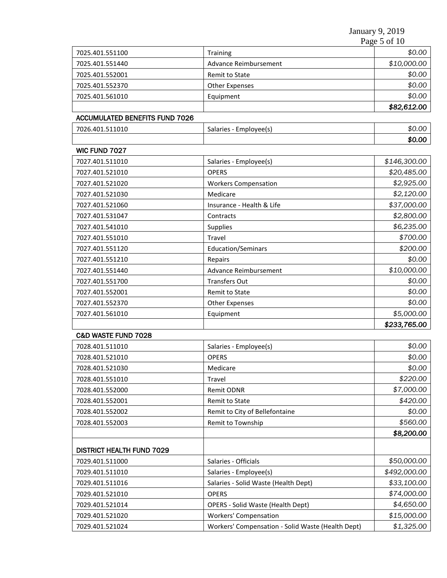January 9, 2019

|                                       |                                      | Page 5 of 10 |
|---------------------------------------|--------------------------------------|--------------|
| 7025.401.551100                       | Training                             | \$0.00       |
| 7025.401.551440                       | Advance Reimbursement                | \$10,000.00  |
| 7025.401.552001                       | \$0.00<br>Remit to State             |              |
| 7025.401.552370                       | <b>Other Expenses</b>                | \$0.00       |
| 7025.401.561010                       | Equipment                            | \$0.00       |
|                                       |                                      | \$82,612.00  |
| <b>ACCUMULATED BENEFITS FUND 7026</b> |                                      |              |
| 7026.401.511010                       | Salaries - Employee(s)               | \$0.00       |
|                                       |                                      | \$0.00       |
| WIC FUND 7027                         |                                      |              |
| 7027.401.511010                       | Salaries - Employee(s)               | \$146,300.00 |
| 7027.401.521010                       | <b>OPERS</b>                         | \$20,485.00  |
| 7027.401.521020                       | <b>Workers Compensation</b>          | \$2,925.00   |
| 7027.401.521030                       | Medicare                             | \$2,120.00   |
| 7027.401.521060                       | Insurance - Health & Life            | \$37,000.00  |
| 7027.401.531047                       | Contracts                            | \$2,800.00   |
| 7027.401.541010                       | Supplies                             | \$6,235.00   |
| 7027.401.551010                       | Travel                               | \$700.00     |
| 7027.401.551120                       | <b>Education/Seminars</b>            | \$200.00     |
| 7027.401.551210                       | Repairs                              | \$0.00       |
| 7027.401.551440                       | <b>Advance Reimbursement</b>         | \$10,000.00  |
| 7027.401.551700                       | <b>Transfers Out</b>                 | \$0.00       |
| 7027.401.552001                       | Remit to State                       | \$0.00       |
| 7027.401.552370                       | <b>Other Expenses</b>                | \$0.00       |
| 7027.401.561010                       | Equipment                            | \$5,000.00   |
|                                       |                                      | \$233,765.00 |
| C&D WASTE FUND 7028                   |                                      |              |
| 7028.401.511010                       | Salaries - Employee(s)               | \$0.00       |
| 7028.401.521010                       | <b>OPERS</b>                         | \$0.00       |
| 7028.401.521030                       | Medicare                             | \$0.00       |
| 7028.401.551010                       | Travel                               | \$220.00     |
| 7028.401.552000                       | Remit ODNR                           | \$7,000.00   |
| 7028.401.552001                       | Remit to State                       | \$420.00     |
| 7028.401.552002                       | Remit to City of Bellefontaine       |              |
| 7028.401.552003                       | Remit to Township                    | \$560.00     |
|                                       |                                      | \$8,200.00   |
| <b>DISTRICT HEALTH FUND 7029</b>      |                                      |              |
| 7029.401.511000                       | Salaries - Officials                 | \$50,000.00  |
| 7029.401.511010                       | Salaries - Employee(s)               | \$492,000.00 |
| 7029.401.511016                       | Salaries - Solid Waste (Health Dept) | \$33,100.00  |

7029.401.521010 OPERS *\$74,000.00* 7029.401.521014 OPERS - Solid Waste (Health Dept) *\$4,650.00* 7029.401.521020 Workers' Compensation *\$15,000.00* 7029.401.521024 Workers' Compensation - Solid Waste (Health Dept) *\$1,325.00*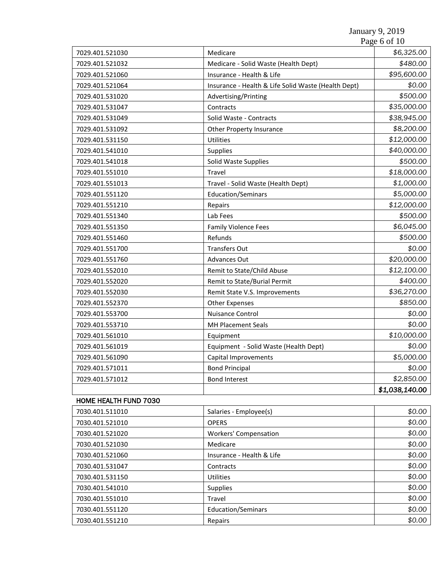|                       |                                                     | Page 6 of 10   |
|-----------------------|-----------------------------------------------------|----------------|
| 7029.401.521030       | Medicare                                            | \$6,325.00     |
| 7029.401.521032       | Medicare - Solid Waste (Health Dept)                | \$480.00       |
| 7029.401.521060       | Insurance - Health & Life                           | \$95,600.00    |
| 7029.401.521064       | Insurance - Health & Life Solid Waste (Health Dept) | \$0.00         |
| 7029.401.531020       | Advertising/Printing                                | \$500.00       |
| 7029.401.531047       | Contracts                                           | \$35,000.00    |
| 7029.401.531049       | Solid Waste - Contracts                             | \$38,945.00    |
| 7029.401.531092       | <b>Other Property Insurance</b>                     | \$8,200.00     |
| 7029.401.531150       | Utilities                                           | \$12,000.00    |
| 7029.401.541010       | Supplies                                            | \$40,000.00    |
| 7029.401.541018       | Solid Waste Supplies                                | \$500.00       |
| 7029.401.551010       | Travel                                              | \$18,000.00    |
| 7029.401.551013       | Travel - Solid Waste (Health Dept)                  | \$1,000.00     |
| 7029.401.551120       | Education/Seminars                                  | \$5,000.00     |
| 7029.401.551210       | Repairs                                             | \$12,000.00    |
| 7029.401.551340       | Lab Fees                                            | \$500.00       |
| 7029.401.551350       | <b>Family Violence Fees</b>                         | \$6,045.00     |
| 7029.401.551460       | Refunds                                             | \$500.00       |
| 7029.401.551700       | <b>Transfers Out</b>                                | \$0.00         |
| 7029.401.551760       | Advances Out                                        | \$20,000.00    |
| 7029.401.552010       | Remit to State/Child Abuse                          | \$12,100.00    |
| 7029.401.552020       | Remit to State/Burial Permit                        | \$400.00       |
| 7029.401.552030       | Remit State V.S. Improvements                       | \$36,270.00    |
| 7029.401.552370       | <b>Other Expenses</b>                               | \$850.00       |
| 7029.401.553700       | Nuisance Control                                    | \$0.00         |
| 7029.401.553710       | <b>MH Placement Seals</b>                           | \$0.00         |
| 7029.401.561010       | Equipment                                           | \$10,000.00    |
| 7029.401.561019       | Equipment - Solid Waste (Health Dept)               | \$0.00         |
| 7029.401.561090       | Capital Improvements                                | \$5,000.00     |
| 7029.401.571011       | <b>Bond Principal</b>                               | \$0.00         |
| 7029.401.571012       | <b>Bond Interest</b>                                | \$2,850.00     |
|                       |                                                     | \$1,038,140.00 |
| HOME HEALTH FUND 7030 |                                                     |                |
| 7030.401.511010       | Salaries - Employee(s)                              | \$0.00         |
| 7030.401.521010       | <b>OPERS</b>                                        | \$0.00         |
| 7030.401.521020       | <b>Workers' Compensation</b>                        | \$0.00         |
| 7030.401.521030       | Medicare                                            | \$0.00         |
| 7030.401.521060       | Insurance - Health & Life                           | \$0.00         |
| 7030.401.531047       | Contracts                                           | \$0.00         |
| 7030.401.531150       | Utilities                                           | \$0.00         |
| 7030.401.541010       | Supplies                                            | \$0.00         |
| 7030.401.551010       | Travel                                              | \$0.00         |
| 7030.401.551120       | Education/Seminars                                  | \$0.00         |
| 7030.401.551210       | Repairs                                             | \$0.00         |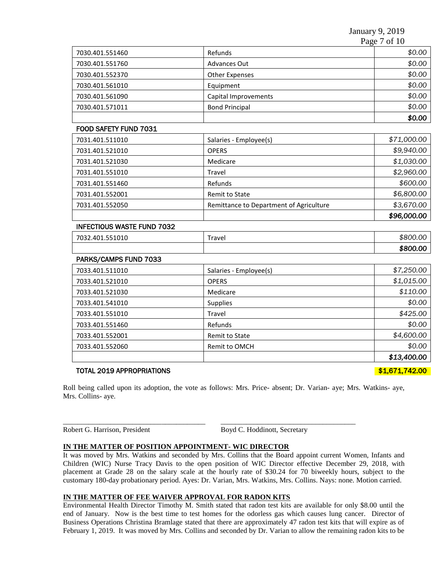January 9, 2019 Page 7 of 10

|                       | - - - -                |             |  |
|-----------------------|------------------------|-------------|--|
| 7030.401.551460       | Refunds                | \$0.00      |  |
| 7030.401.551760       | Advances Out           | \$0.00      |  |
| 7030.401.552370       | <b>Other Expenses</b>  | \$0.00      |  |
| 7030.401.561010       | Equipment              | \$0.00      |  |
| 7030.401.561090       | Capital Improvements   | \$0.00      |  |
| 7030.401.571011       | <b>Bond Principal</b>  | \$0.00      |  |
|                       |                        | \$0.00      |  |
| FOOD SAFETY FUND 7031 |                        |             |  |
| 7031.401.511010       | Salaries - Employee(s) | \$71,000.00 |  |
| 7031.401.521010       | <b>OPERS</b>           | \$9,940.00  |  |
| 7031.401.521030       | Medicare               | \$1,030.00  |  |

7031.401.551010 Travel *\$2,960.00* 7031.401.551460 Refunds *\$600.00* 7031.401.552001 Remit to State *\$6,800.00* 7031.401.552050 Remittance to Department of Agriculture *\$3,670.00*

7032.401.551010 Travel *\$800.00*

| 7033.401.511010 | Salaries - Employee(s) | \$7,250.00  |
|-----------------|------------------------|-------------|
| 7033.401.521010 | <b>OPERS</b>           | \$1,015.00  |
| 7033.401.521030 | Medicare               | \$110.00    |
| 7033.401.541010 | <b>Supplies</b>        | \$0.00      |
| 7033.401.551010 | Travel                 | \$425.00    |
| 7033.401.551460 | Refunds                | \$0.00      |
| 7033.401.552001 | Remit to State         | \$4,600.00  |
| 7033.401.552060 | Remit to OMCH          | \$0.00      |
|                 |                        | \$13,400.00 |

# TOTAL 2019 APPROPRIATIONS **\$1,671,742.00**

INFECTIOUS WASTE FUND 7032

PARKS/CAMPS FUND 7033

Roll being called upon its adoption, the vote as follows: Mrs. Price- absent; Dr. Varian- aye; Mrs. Watkins- aye, Mrs. Collins- aye.

\_\_\_\_\_\_\_\_\_\_\_\_\_\_\_\_\_\_\_\_\_\_\_\_\_\_\_\_\_\_\_\_\_\_\_\_\_\_\_ \_\_\_\_\_\_\_\_\_\_\_\_\_\_\_\_\_\_\_\_\_\_\_\_\_\_\_\_\_\_\_\_\_\_\_\_\_

Robert G. Harrison, President Boyd C. Hoddinott, Secretary

#### **IN THE MATTER OF POSITION APPOINTMENT- WIC DIRECTOR**

It was moved by Mrs. Watkins and seconded by Mrs. Collins that the Board appoint current Women, Infants and Children (WIC) Nurse Tracy Davis to the open position of WIC Director effective December 29, 2018, with placement at Grade 28 on the salary scale at the hourly rate of \$30.24 for 70 biweekly hours, subject to the customary 180-day probationary period. Ayes: Dr. Varian, Mrs. Watkins, Mrs. Collins. Nays: none. Motion carried.

# **IN THE MATTER OF FEE WAIVER APPROVAL FOR RADON KITS**

Environmental Health Director Timothy M. Smith stated that radon test kits are available for only \$8.00 until the end of January. Now is the best time to test homes for the odorless gas which causes lung cancer. Director of Business Operations Christina Bramlage stated that there are approximately 47 radon test kits that will expire as of February 1, 2019. It was moved by Mrs. Collins and seconded by Dr. Varian to allow the remaining radon kits to be

*\$96,000.00* 

*\$800.00*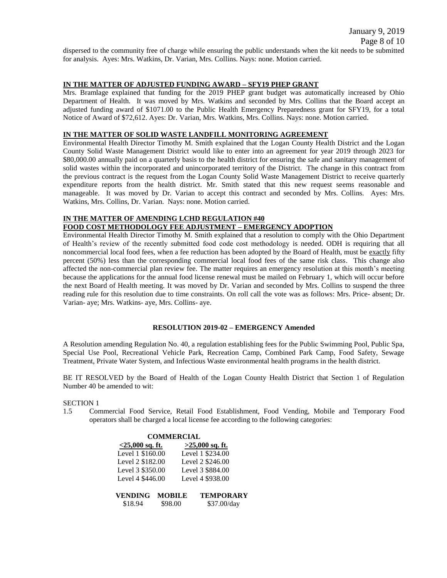January 9, 2019 Page 8 of 10 dispersed to the community free of charge while ensuring the public understands when the kit needs to be submitted for analysis. Ayes: Mrs. Watkins, Dr. Varian, Mrs. Collins. Nays: none. Motion carried.

# **IN THE MATTER OF ADJUSTED FUNDING AWARD – SFY19 PHEP GRANT**

Mrs. Bramlage explained that funding for the 2019 PHEP grant budget was automatically increased by Ohio Department of Health. It was moved by Mrs. Watkins and seconded by Mrs. Collins that the Board accept an adjusted funding award of \$1071.00 to the Public Health Emergency Preparedness grant for SFY19, for a total Notice of Award of \$72,612. Ayes: Dr. Varian, Mrs. Watkins, Mrs. Collins. Nays: none. Motion carried.

### **IN THE MATTER OF SOLID WASTE LANDFILL MONITORING AGREEMENT**

Environmental Health Director Timothy M. Smith explained that the Logan County Health District and the Logan County Solid Waste Management District would like to enter into an agreement for year 2019 through 2023 for \$80,000.00 annually paid on a quarterly basis to the health district for ensuring the safe and sanitary management of solid wastes within the incorporated and unincorporated territory of the District. The change in this contract from the previous contract is the request from the Logan County Solid Waste Management District to receive quarterly expenditure reports from the health district. Mr. Smith stated that this new request seems reasonable and manageable. It was moved by Dr. Varian to accept this contract and seconded by Mrs. Collins. Ayes: Mrs. Watkins, Mrs. Collins, Dr. Varian. Nays: none. Motion carried.

# **IN THE MATTER OF AMENDING LCHD REGULATION #40**

### **FOOD COST METHODOLOGY FEE ADJUSTMENT – EMERGENCY ADOPTION**

Environmental Health Director Timothy M. Smith explained that a resolution to comply with the Ohio Department of Health's review of the recently submitted food code cost methodology is needed. ODH is requiring that all noncommercial local food fees, when a fee reduction has been adopted by the Board of Health, must be exactly fifty percent (50%) less than the corresponding commercial local food fees of the same risk class. This change also affected the non-commercial plan review fee. The matter requires an emergency resolution at this month's meeting because the applications for the annual food license renewal must be mailed on February 1, which will occur before the next Board of Health meeting. It was moved by Dr. Varian and seconded by Mrs. Collins to suspend the three reading rule for this resolution due to time constraints. On roll call the vote was as follows: Mrs. Price- absent; Dr. Varian- aye; Mrs. Watkins- aye, Mrs. Collins- aye.

#### **RESOLUTION 2019-02 – EMERGENCY Amended**

A Resolution amending Regulation No. 40, a regulation establishing fees for the Public Swimming Pool, Public Spa, Special Use Pool, Recreational Vehicle Park, Recreation Camp, Combined Park Camp, Food Safety, Sewage Treatment, Private Water System, and Infectious Waste environmental health programs in the health district.

BE IT RESOLVED by the Board of Health of the Logan County Health District that Section 1 of Regulation Number 40 be amended to wit:

SECTION 1

1.5 Commercial Food Service, Retail Food Establishment, Food Vending, Mobile and Temporary Food operators shall be charged a local license fee according to the following categories:

| <b>COMMERCIAL</b>     |         |                   |  |
|-----------------------|---------|-------------------|--|
| $<$ 25,000 sq. ft.    |         | $>25,000$ sq. ft. |  |
| Level 1 \$160.00      |         | Level 1 \$234.00  |  |
| Level 2 \$182.00      |         | Level 2 \$246.00  |  |
| Level 3 \$350.00      |         | Level 3 \$884.00  |  |
| Level 4 \$446.00      |         | Level 4 \$938.00  |  |
| <b>VENDING MOBILE</b> |         | <b>TEMPORARY</b>  |  |
| \$18.94               | \$98.00 | \$37.00/day       |  |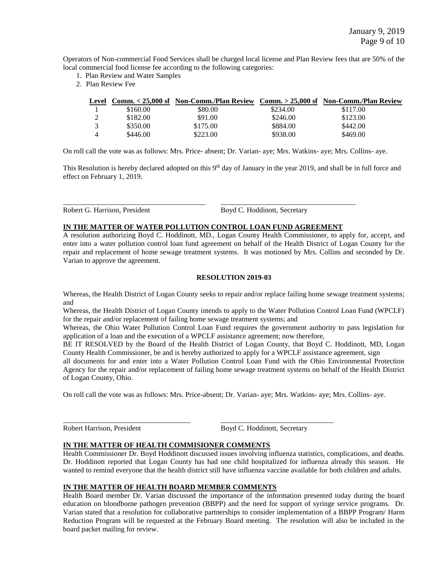Operators of Non-commercial Food Services shall be charged local license and Plan Review fees that are 50% of the local commercial food license fee according to the following categories:

- 1. Plan Review and Water Samples
- 2. Plan Review Fee

| Level |          | Comm. < 25.000 sf Non-Comm./Plan Review Comm. > 25.000 sf Non-Comm./Plan Review |          |          |
|-------|----------|---------------------------------------------------------------------------------|----------|----------|
|       | \$160.00 | \$80.00                                                                         | \$234.00 | \$117.00 |
|       | \$182.00 | \$91.00                                                                         | \$246.00 | \$123.00 |
|       | \$350.00 | \$175.00                                                                        | \$884.00 | \$442.00 |
|       | \$446.00 | \$223.00                                                                        | \$938.00 | \$469.00 |

On roll call the vote was as follows: Mrs. Price- absent; Dr. Varian- aye; Mrs. Watkins- aye; Mrs. Collins- aye.

This Resolution is hereby declared adopted on this 9<sup>th</sup> day of January in the year 2019, and shall be in full force and effect on February 1, 2019.

Robert G. Harrison, President Boyd C. Hoddinott, Secretary

# **IN THE MATTER OF WATER POLLUTION CONTROL LOAN FUND AGREEMENT**

\_\_\_\_\_\_\_\_\_\_\_\_\_\_\_\_\_\_\_\_\_\_\_\_\_\_\_\_\_\_\_\_\_\_\_\_\_\_\_ \_\_\_\_\_\_\_\_\_\_\_\_\_\_\_\_\_\_\_\_\_\_\_\_\_\_\_\_\_\_\_\_\_\_\_\_\_

A resolution authorizing Boyd C. Hoddinott, MD., Logan County Health Commissioner, to apply for, accept, and enter into a water pollution control loan fund agreement on behalf of the Health District of Logan County for the repair and replacement of home sewage treatment systems. It was motioned by Mrs. Collins and seconded by Dr. Varian to approve the agreement.

### **RESOLUTION 2019-03**

Whereas, the Health District of Logan County seeks to repair and/or replace failing home sewage treatment systems; and

Whereas, the Health District of Logan County intends to apply to the Water Pollution Control Loan Fund (WPCLF) for the repair and/or replacement of failing home sewage treatment systems; and

Whereas, the Ohio Water Pollution Control Loan Fund requires the government authority to pass legislation for application of a loan and the execution of a WPCLF assistance agreement; now therefore,

BE IT RESOLVED by the Board of the Health District of Logan County, that Boyd C. Hoddinott, MD, Logan County Health Commissioner, be and is hereby authorized to apply for a WPCLF assistance agreement, sign

all documents for and enter into a Water Pollution Control Loan Fund with the Ohio Environmental Protection Agency for the repair and/or replacement of failing home sewage treatment systems on behalf of the Health District of Logan County, Ohio.

On roll call the vote was as follows: Mrs. Price-absent; Dr. Varian- aye; Mrs. Watkins- aye; Mrs. Collins- aye.

\_\_\_\_\_\_\_\_\_\_\_\_\_\_\_\_\_\_\_\_\_\_\_\_\_\_\_\_\_\_\_\_\_\_\_ \_\_\_\_\_\_\_\_\_\_\_\_\_\_\_\_\_\_\_\_\_\_\_\_\_\_\_\_\_\_\_

Robert Harrison, President Boyd C. Hoddinott, Secretary

# **IN THE MATTER OF HEALTH COMMISIONER COMMENTS**

Health Commissioner Dr. Boyd Hoddinott discussed issues involving influenza statistics, complications, and deaths. Dr. Hoddinott reported that Logan County has had one child hospitalized for influenza already this season. He wanted to remind everyone that the health district still have influenza vaccine available for both children and adults.

#### **IN THE MATTER OF HEALTH BOARD MEMBER COMMENTS**

Health Board member Dr. Varian discussed the importance of the information presented today during the board education on bloodborne pathogen prevention (BBPP) and the need for support of syringe service programs. Dr. Varian stated that a resolution for collaborative partnerships to consider implementation of a BBPP Program/ Harm Reduction Program will be requested at the February Board meeting. The resolution will also be included in the board packet mailing for review.